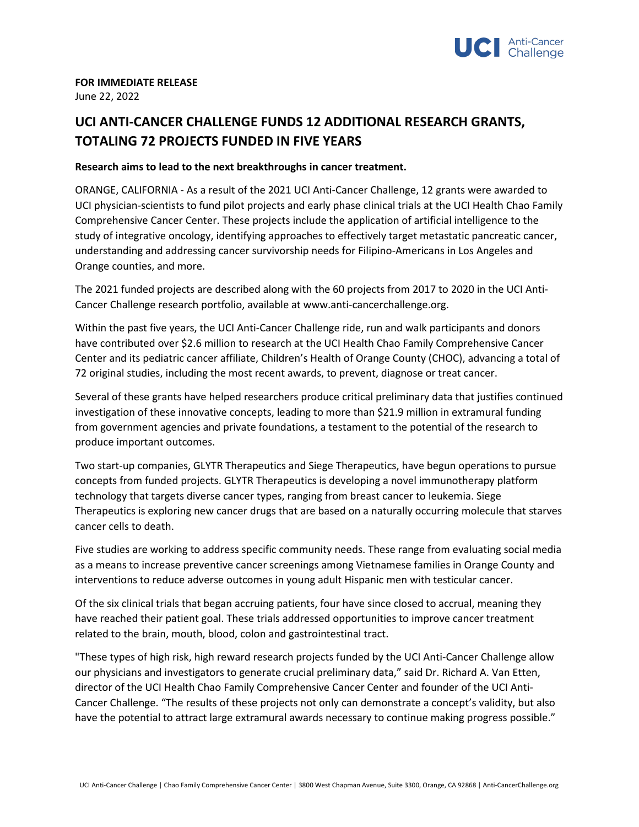

## **FOR IMMEDIATE RELEASE** June 22, 2022

## **UCI ANTI-CANCER CHALLENGE FUNDS 12 ADDITIONAL RESEARCH GRANTS, TOTALING 72 PROJECTS FUNDED IN FIVE YEARS**

## **Research aims to lead to the next breakthroughs in cancer treatment.**

ORANGE, CALIFORNIA - As a result of the 2021 UCI Anti-Cancer Challenge, 12 grants were awarded to UCI physician-scientists to fund pilot projects and early phase clinical trials at the UCI Health Chao Family Comprehensive Cancer Center. These projects include the application of artificial intelligence to the study of integrative oncology, identifying approaches to effectively target metastatic pancreatic cancer, understanding and addressing cancer survivorship needs for Filipino-Americans in Los Angeles and Orange counties, and more.

The 2021 funded projects are described along with the 60 projects from 2017 to 2020 in the UCI Anti-Cancer Challenge research portfolio, available at www.anti-cancerchallenge.org.

Within the past five years, the UCI Anti-Cancer Challenge ride, run and walk participants and donors have contributed over \$2.6 million to research at the UCI Health Chao Family Comprehensive Cancer Center and its pediatric cancer affiliate, Children's Health of Orange County (CHOC), advancing a total of 72 original studies, including the most recent awards, to prevent, diagnose or treat cancer.

Several of these grants have helped researchers produce critical preliminary data that justifies continued investigation of these innovative concepts, leading to more than \$21.9 million in extramural funding from government agencies and private foundations, a testament to the potential of the research to produce important outcomes.

Two start-up companies, GLYTR Therapeutics and Siege Therapeutics, have begun operations to pursue concepts from funded projects. GLYTR Therapeutics is developing a novel immunotherapy platform technology that targets diverse cancer types, ranging from breast cancer to leukemia. Siege Therapeutics is exploring new cancer drugs that are based on a naturally occurring molecule that starves cancer cells to death.

Five studies are working to address specific community needs. These range from evaluating social media as a means to increase preventive cancer screenings among Vietnamese families in Orange County and interventions to reduce adverse outcomes in young adult Hispanic men with testicular cancer.

Of the six clinical trials that began accruing patients, four have since closed to accrual, meaning they have reached their patient goal. These trials addressed opportunities to improve cancer treatment related to the brain, mouth, blood, colon and gastrointestinal tract.

"These types of high risk, high reward research projects funded by the UCI Anti-Cancer Challenge allow our physicians and investigators to generate crucial preliminary data," said Dr. Richard A. Van Etten, director of the UCI Health Chao Family Comprehensive Cancer Center and founder of the UCI Anti-Cancer Challenge. "The results of these projects not only can demonstrate a concept's validity, but also have the potential to attract large extramural awards necessary to continue making progress possible."